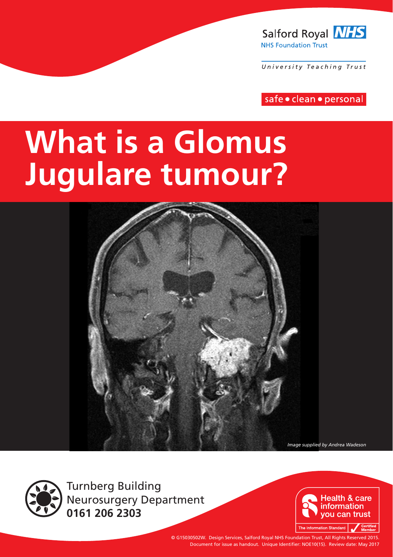

University Teaching Trust

safe · clean · personal

# **What is a Glomus Jugulare tumour?**



*Image supplied by Andrea Wadeson*



Turnberg Building Neurosurgery Department **0161 206 2303**



© G15030502W. Design Services, Salford Royal NHS Foundation Trust, All Rights Reserved 2015. Document for issue as handout. Unique Identifier: NOE10(15). Review date: May 2017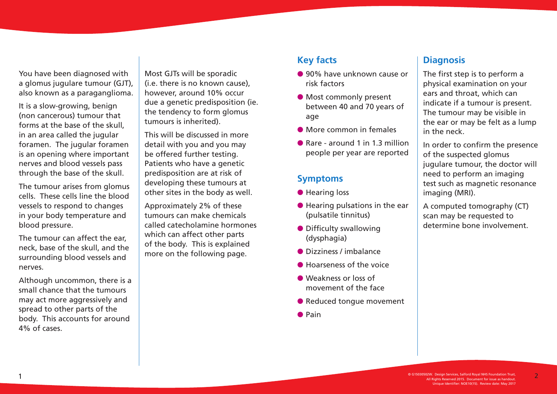You have been diagnosed with a glomus jugulare tumour (GJT), also known as a paraganglioma.

It is a slow-growing, benign (non cancerous) tumour that forms at the base of the skull, in an area called the jugular foramen. The jugular foramen is an opening where important nerves and blood vessels pass through the base of the skull.

The tumour arises from glomus cells. These cells line the blood vessels to respond to changes in your body temperature and blood pressure.

The tumour can affect the ear, neck, base of the skull, and the surrounding blood vessels and nerves.

Although uncommon, there is a small chance that the tumours may act more aggressively and spread to other parts of the body. This accounts for around  $4\%$  of cases.

Most GJTs will be sporadic (i.e. there is no known cause), however, around 10% occur due a genetic predisposition (ie. the tendency to form glomus tumours is inherited).

This will be discussed in more detail with you and you may be offered further testing. Patients who have a genetic predisposition are at risk of developing these tumours at other sites in the body as well.

Approximately 2% of these tumours can make chemicals called catecholamine hormones which can affect other parts of the body. This is explained more on the following page.

### **Key facts**

- **e** 90% have unknown cause or risk factors
- **Most commonly present** between 40 and 70 years of age
- $\bullet$  More common in females
- Rare around 1 in 1.3 million people per year are reported

#### **Symptoms**

- **e** Hearing loss
- $\bullet$  Hearing pulsations in the ear (pulsatile tinnitus)
- $\bullet$  Difficulty swallowing (dysphagia)
- $\bullet$  Dizziness / imbalance
- $\bullet$  Hoarseness of the voice
- **C** Weakness or loss of movement of the face
- Reduced tonque movement
- $\bullet$  Pain

### **Diagnosis**

The first step is to perform a physical examination on your ears and throat, which can indicate if a tumour is present. The tumour may be visible in the ear or may be felt as a lump in the neck.

In order to confirm the presence of the suspected glomus jugulare tumour, the doctor will need to perform an imaging test such as magnetic resonance imaging (MRI).

A computed tomography (CT) scan may be requested to determine bone involvement.

2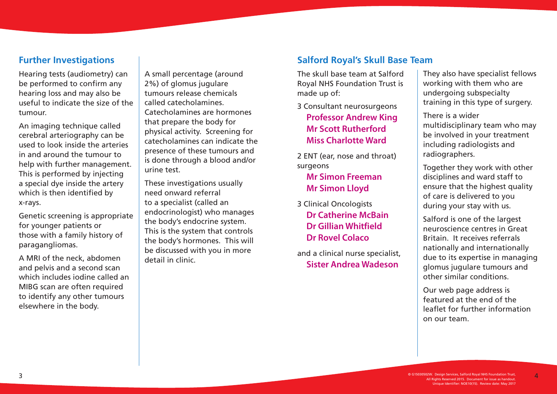### **Further Investigations**

Hearing tests (audiometry) can be performed to confirm any hearing loss and may also be useful to indicate the size of the tumour.

An imaging technique called cerebral arteriography can be used to look inside the arteries in and around the tumour to help with further management. This is performed by injecting a special dye inside the artery which is then identified by x-rays.

Genetic screening is appropriate for younger patients or those with a family history of paragangliomas.

A MRI of the neck, abdomen and pelvis and a second scan which includes iodine called an MIBG scan are often required to identify any other tumours elsewhere in the body.

A small percentage (around 2%) of glomus jugulare tumours release chemicals called catecholamines. Catecholamines are hormones that prepare the body for physical activity. Screening for catecholamines can indicate the presence of these tumours and is done through a blood and/or urine test.

These investigations usually need onward referral to a specialist (called an endocrinologist) who manages the body's endocrine system. This is the system that controls the body's hormones. This will be discussed with you in more detail in clinic.

### **Salford Royal's Skull Base Team**

The skull base team at Salford Royal NHS Foundation Trust is made up of:

3 Consultant neurosurgeons **Professor Andrew King Mr Scott Rutherford Miss Charlotte Ward** 

2 ENT (ear, nose and throat) surgeons

### **Mr Simon Freeman Mr Simon Lloyd**

3 Clinical Oncologists **Dr Catherine McBain Dr Gillian Whitfield Dr Rovel Colaco**

and a clinical nurse specialist, **Sister Andrea Wadeson**

They also have specialist fellows working with them who are undergoing subspecialty training in this type of surgery.

There is a wider multidisciplinary team who may be involved in your treatment including radiologists and radiographers.

Together they work with other disciplines and ward staff to ensure that the highest quality of care is delivered to you during your stay with us.

Salford is one of the largest neuroscience centres in Great Britain. It receives referrals nationally and internationally due to its expertise in managing glomus jugulare tumours and other similar conditions.

Our web page address is featured at the end of the leaflet for further information on our team.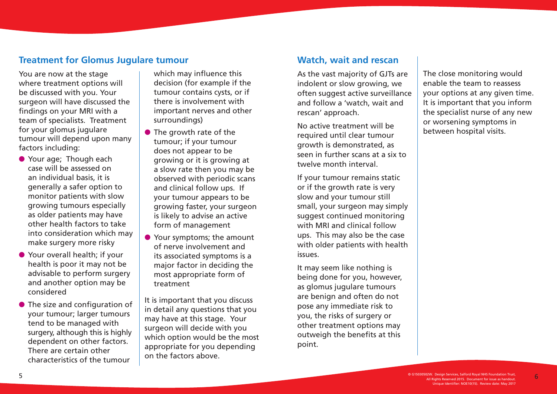### **Treatment for Glomus Jugulare tumour**

You are now at the stage where treatment options will be discussed with you. Your surgeon will have discussed the findings on your MRI with a team of specialists. Treatment for your glomus jugulare tumour will depend upon many factors including:

- **Your age: Though each** case will be assessed on an individual basis, it is generally a safer option to monitor patients with slow growing tumours especially as older patients may have other health factors to take into consideration which may make surgery more risky
- Your overall health; if your health is poor it may not be advisable to perform surgery and another option may be considered
- $\bullet$  The size and configuration of your tumour; larger tumours tend to be managed with surgery, although this is highly dependent on other factors. There are certain other characteristics of the tumour

which may influence this decision (for example if the tumour contains cysts, or if there is involvement with important nerves and other surroundings)

- $\bullet$  The growth rate of the tumour; if your tumour does not appear to be growing or it is growing at a slow rate then you may be observed with periodic scans and clinical follow ups. If your tumour appears to be growing faster, your surgeon is likely to advise an active form of management
- **•** Your symptoms; the amount of nerve involvement and its associated symptoms is a major factor in deciding the most appropriate form of treatment

It is important that you discuss in detail any questions that you may have at this stage. Your surgeon will decide with you which option would be the most appropriate for you depending on the factors above.

#### **Watch, wait and rescan**

As the vast majority of GJTs are indolent or slow growing, we often suggest active surveillance and follow a 'watch, wait and rescan' approach.

No active treatment will be required until clear tumour growth is demonstrated, as seen in further scans at a six to twelve month interval.

If your tumour remains static or if the growth rate is very slow and your tumour still small, your surgeon may simply suggest continued monitoring with MRI and clinical follow ups. This may also be the case with older patients with health issues.

It may seem like nothing is being done for you, however, as glomus jugulare tumours are benign and often do not pose any immediate risk to you, the risks of surgery or other treatment options may outweigh the benefits at this point.

The close monitoring would enable the team to reassess your options at any given time. It is important that you inform the specialist nurse of any new or worsening symptoms in between hospital visits.

6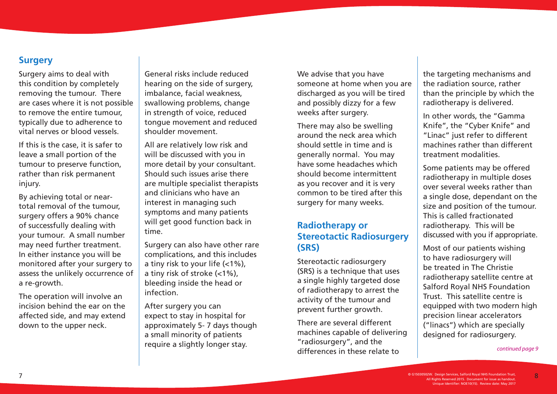### **Surgery**

Surgery aims to deal with this condition by completely removing the tumour. There are cases where it is not possible to remove the entire tumour, typically due to adherence to vital nerves or blood vessels.

If this is the case, it is safer to leave a small portion of the tumour to preserve function, rather than risk permanent injury.

By achieving total or neartotal removal of the tumour, surgery offers a 90% chance of successfully dealing with your tumour. A small number may need further treatment. In either instance you will be monitored after your surgery to assess the unlikely occurrence of a re-growth.

The operation will involve an incision behind the ear on the affected side, and may extend down to the upper neck.

General risks include reduced hearing on the side of surgery, imbalance, facial weakness, swallowing problems, change in strength of voice, reduced tongue movement and reduced shoulder movement.

All are relatively low risk and will be discussed with you in more detail by your consultant. Should such issues arise there are multiple specialist therapists and clinicians who have an interest in managing such symptoms and many patients will get good function back in time.

Surgery can also have other rare complications, and this includes a tiny risk to your life (<1%), a tiny risk of stroke (<1%), bleeding inside the head or infection.

After surgery you can expect to stay in hospital for approximately 5- 7 days though a small minority of patients require a slightly longer stay.

We advise that you have someone at home when you are discharged as you will be tired and possibly dizzy for a few weeks after surgery.

There may also be swelling around the neck area which should settle in time and is generally normal. You may have some headaches which should become intermittent as you recover and it is very common to be tired after this surgery for many weeks.

### **Radiotherapy or Stereotactic Radiosurgery (SRS)**

Stereotactic radiosurgery (SRS) is a technique that uses a single highly targeted dose of radiotherapy to arrest the activity of the tumour and prevent further growth.

There are several different machines capable of delivering "radiosurgery", and the differences in these relate to

the targeting mechanisms and the radiation source, rather than the principle by which the radiotherapy is delivered.

In other words, the "Gamma Knife", the "Cyber Knife" and "Linac" just refer to different machines rather than different treatment modalities.

Some patients may be offered radiotherapy in multiple doses over several weeks rather than a single dose, dependant on the size and position of the tumour. This is called fractionated radiotherapy. This will be discussed with you if appropriate.

Most of our patients wishing to have radiosurgery will be treated in The Christie radiotherapy satellite centre at Salford Royal NHS Foundation Trust. This satellite centre is equipped with two modern high precision linear accelerators ("linacs") which are specially designed for radiosurgery.

#### *continued page 9*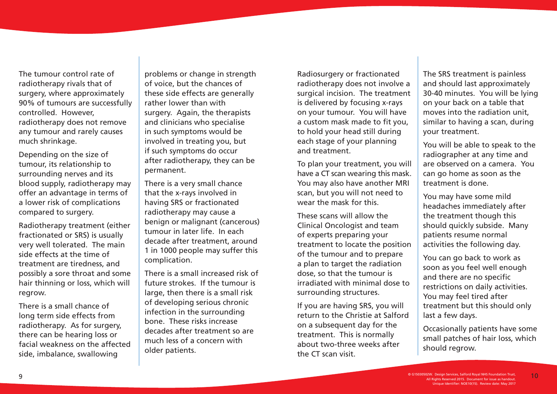The tumour control rate of radiotherapy rivals that of surgery, where approximately 90% of tumours are successfully controlled. However, radiotherapy does not remove any tumour and rarely causes much shrinkage.

Depending on the size of tumour, its relationship to surrounding nerves and its blood supply, radiotherapy may offer an advantage in terms of a lower risk of complications compared to surgery.

Radiotherapy treatment (either fractionated or SRS) is usually very well tolerated. The main side effects at the time of treatment are tiredness, and possibly a sore throat and some hair thinning or loss, which will regrow.

There is a small chance of long term side effects from radiotherapy. As for surgery, there can be hearing loss or facial weakness on the affected side, imbalance, swallowing

problems or change in strength of voice, but the chances of these side effects are generally rather lower than with surgery. Again, the therapists and clinicians who specialise in such symptoms would be involved in treating you, but if such symptoms do occur after radiotherapy, they can be permanent.

There is a very small chance that the x-rays involved in having SRS or fractionated radiotherapy may cause a benign or malignant (cancerous) tumour in later life. In each decade after treatment, around 1 in 1000 people may suffer this complication.

There is a small increased risk of future strokes. If the tumour is large, then there is a small risk of developing serious chronic infection in the surrounding bone. These risks increase decades after treatment so are much less of a concern with older patients.

Radiosurgery or fractionated radiotherapy does not involve a surgical incision. The treatment is delivered by focusing x-rays on your tumour. You will have a custom mask made to fit you, to hold your head still during each stage of your planning and treatment.

To plan your treatment, you will have a CT scan wearing this mask. You may also have another MRI scan, but you will not need to wear the mask for this.

These scans will allow the Clinical Oncologist and team of experts preparing your treatment to locate the position of the tumour and to prepare a plan to target the radiation dose, so that the tumour is irradiated with minimal dose to surrounding structures.

If you are having SRS, you will return to the Christie at Salford on a subsequent day for the treatment. This is normally about two-three weeks after the CT scan visit.

The SRS treatment is painless and should last approximately 30-40 minutes. You will be lying on your back on a table that moves into the radiation unit, similar to having a scan, during your treatment.

You will be able to speak to the radiographer at any time and are observed on a camera. You can go home as soon as the treatment is done.

You may have some mild headaches immediately after the treatment though this should quickly subside. Many patients resume normal activities the following day.

You can go back to work as soon as you feel well enough and there are no specific restrictions on daily activities. You may feel tired after treatment but this should only last a few days.

Occasionally patients have some small patches of hair loss, which should regrow.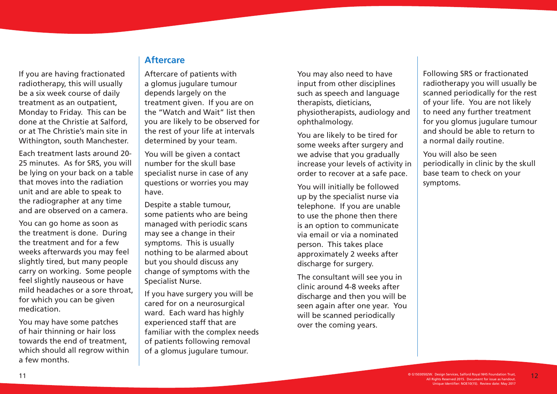If you are having fractionated radiotherapy, this will usually be a six week course of daily treatment as an outpatient, Monday to Friday. This can be done at the Christie at Salford, or at The Christie's main site in Withington, south Manchester.

Each treatment lasts around 20- 25 minutes. As for SRS, you will be lying on your back on a table that moves into the radiation unit and are able to speak to the radiographer at any time and are observed on a camera.

You can go home as soon as the treatment is done. During the treatment and for a few weeks afterwards you may feel slightly tired, but many people carry on working. Some people feel slightly nauseous or have mild headaches or a sore throat, for which you can be given medication.

You may have some patches of hair thinning or hair loss towards the end of treatment, which should all regrow within a few months.

### **Aftercare**

Aftercare of patients with a glomus jugulare tumour depends largely on the treatment given. If you are on the "Watch and Wait" list then you are likely to be observed for the rest of your life at intervals determined by your team.

You will be given a contact number for the skull base specialist nurse in case of any questions or worries you may have.

Despite a stable tumour, some patients who are being managed with periodic scans may see a change in their symptoms. This is usually nothing to be alarmed about but you should discuss any change of symptoms with the Specialist Nurse.

If you have surgery you will be cared for on a neurosurgical ward. Each ward has highly experienced staff that are familiar with the complex needs of patients following removal of a glomus jugulare tumour.

You may also need to have input from other disciplines such as speech and language therapists, dieticians, physiotherapists, audiology and ophthalmology.

You are likely to be tired for some weeks after surgery and we advise that you gradually increase your levels of activity in order to recover at a safe pace.

You will initially be followed up by the specialist nurse via telephone. If you are unable to use the phone then there is an option to communicate via email or via a nominated person. This takes place approximately 2 weeks after discharge for surgery.

The consultant will see you in clinic around 4-8 weeks after discharge and then you will be seen again after one year. You will be scanned periodically over the coming years.

Following SRS or fractionated radiotherapy you will usually be scanned periodically for the rest of your life. You are not likely to need any further treatment for you glomus jugulare tumour and should be able to return to a normal daily routine.

You will also be seen periodically in clinic by the skull base team to check on your symptoms.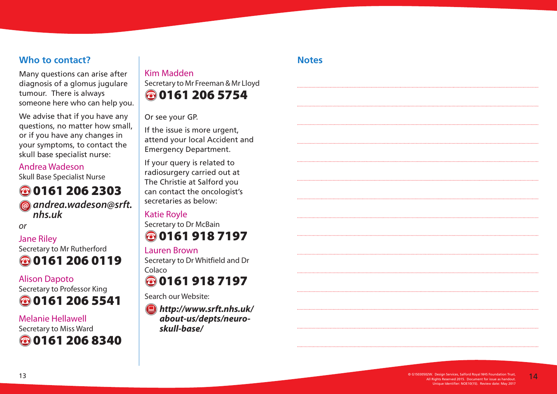### **Who to contact?**

Many questions can arise after diagnosis of a glomus jugulare tumour. There is always someone here who can help you.

We advise that if you have any questions, no matter how small, or if you have any changes in your symptoms, to contact the skull base specialist nurse:

### Andrea Wadeson

Skull Base Specialist Nurse

### **80161 206 2303** *andrea.wadeson@srft. nhs.uk*

*or*

### Jane Riley Secretary to Mr Rutherford **80161 206 0119**

## Alison Dapoto



### Melanie Hellawell Secretary to Miss Ward **80161 206 8340**

### Kim Madden Secretary to Mr Freeman & Mr Lloyd **80161 206 5754**

Or see your GP.

If the issue is more urgent, attend your local Accident and Emergency Department.

If your query is related to radiosurgery carried out at The Christie at Salford you can contact the oncologist's secretaries as below:

### Katie Royle

Secretary to Dr McBain **801619187197** 

### Lauren Brown

Secretary to Dr Whitfield and Dr Colaco

# **801619187197**

Search our Website:

*http://www.srft.nhs.uk/ about-us/depts/neuroskull-base/*

### **Notes**